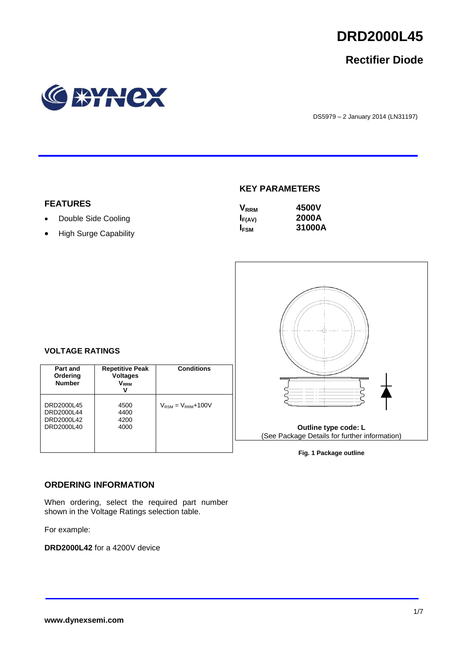

# **Rectifier Diode**



DS5979 – 2 January 2014 (LN31197)

## **KEY PARAMETERS**

| $\mathsf{V}_{\mathsf{RRM}}$ | 4500V  |
|-----------------------------|--------|
| $I_{F(AV)}$                 | 2000A  |
| I <sub>FSM</sub>            | 31000A |



#### **Fig. 1 Package outline**

#### **VOLTAGE RATINGS**

**FEATURES**

• Double Side Cooling • High Surge Capability

| Part and<br>Ordering<br><b>Number</b>                | <b>Repetitive Peak</b><br><b>Voltages</b><br>V <sub>RRM</sub><br>v | <b>Conditions</b>                        |
|------------------------------------------------------|--------------------------------------------------------------------|------------------------------------------|
| DRD2000L45<br>DRD2000L44<br>DRD2000L42<br>DRD2000L40 | 4500<br>4400<br>4200<br>4000                                       | $V_{\text{RSM}} = V_{\text{RRM}} + 100V$ |

#### **ORDERING INFORMATION**

When ordering, select the required part number shown in the Voltage Ratings selection table.

For example:

**DRD2000L42** for a 4200V device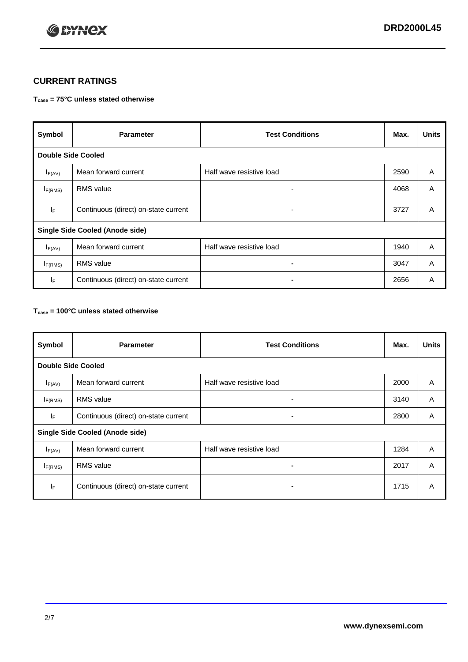

## **CURRENT RATINGS**

#### **Tcase = 75°C unless stated otherwise**

| Symbol                                 | <b>Parameter</b>                     | <b>Test Conditions</b>   | Max. | <b>Units</b> |
|----------------------------------------|--------------------------------------|--------------------------|------|--------------|
| <b>Double Side Cooled</b>              |                                      |                          |      |              |
| $I_{F(AV)}$                            | Mean forward current                 | Half wave resistive load | 2590 | A            |
| $I_{F(RMS)}$                           | <b>RMS</b> value                     | $\overline{\phantom{0}}$ | 4068 | A            |
| IF.                                    | Continuous (direct) on-state current | ۰                        | 3727 | A            |
| <b>Single Side Cooled (Anode side)</b> |                                      |                          |      |              |
| $I_{F(AV)}$                            | Mean forward current                 | Half wave resistive load | 1940 | A            |
| $I_{F(RMS)}$                           | <b>RMS</b> value                     | $\blacksquare$           | 3047 | A            |
| ΙF                                     | Continuous (direct) on-state current |                          | 2656 | A            |

#### **Tcase = 100°C unless stated otherwise**

| Symbol                                 | <b>Parameter</b>                     | <b>Test Conditions</b>   | Max. | <b>Units</b> |
|----------------------------------------|--------------------------------------|--------------------------|------|--------------|
| <b>Double Side Cooled</b>              |                                      |                          |      |              |
| $I_{F(AV)}$                            | Mean forward current                 | Half wave resistive load | 2000 | A            |
| $I_{F(RMS)}$                           | <b>RMS</b> value                     | ۰                        | 3140 | A            |
| lF.                                    | Continuous (direct) on-state current | ۰                        | 2800 | A            |
| <b>Single Side Cooled (Anode side)</b> |                                      |                          |      |              |
| $I_{F(AV)}$                            | Mean forward current                 | Half wave resistive load | 1284 | A            |
| I <sub>F(RMS)</sub>                    | <b>RMS</b> value                     |                          | 2017 | A            |
| IF.                                    | Continuous (direct) on-state current | -                        | 1715 | A            |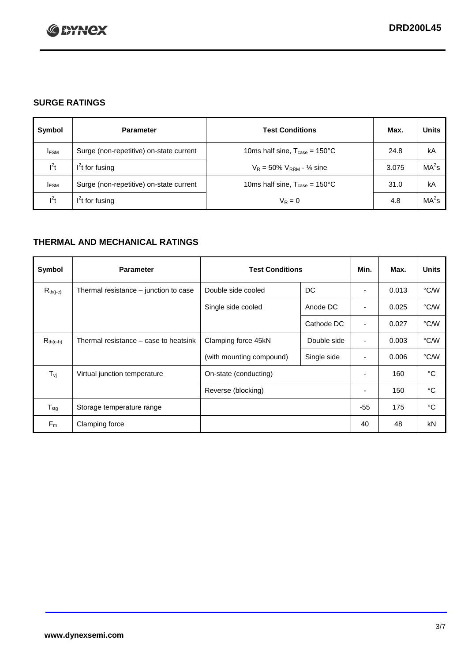

## **SURGE RATINGS**

| Symbol      | <b>Parameter</b>                        | <b>Test Conditions</b>                            | Max.  | <b>Units</b>      |
|-------------|-----------------------------------------|---------------------------------------------------|-------|-------------------|
| <b>IFSM</b> | Surge (non-repetitive) on-state current | 10ms half sine, $T_{\text{case}} = 150^{\circ}$ C | 24.8  | kA                |
| $l^2t$      | $I2t$ for fusing                        | $V_R = 50\% V_{RRM} - \frac{1}{4}$ sine           | 3.075 | MA <sup>2</sup> s |
| <b>IFSM</b> | Surge (non-repetitive) on-state current | 10ms half sine, $T_{\text{case}} = 150^{\circ}$ C | 31.0  | kA                |
| $l^2t$      | $l^2$ t for fusing                      | $V_R = 0$                                         | 4.8   | $MA2$ s           |

## **THERMAL AND MECHANICAL RATINGS**

| Symbol           | <b>Parameter</b>                      | <b>Test Conditions</b>   |             | Min.                     | Max.  | <b>Units</b> |
|------------------|---------------------------------------|--------------------------|-------------|--------------------------|-------|--------------|
| $R_{th(j-c)}$    | Thermal resistance – junction to case | Double side cooled       | DC          | ۰                        | 0.013 | °C/W         |
|                  |                                       | Single side cooled       | Anode DC    |                          | 0.025 | °C/W         |
|                  |                                       |                          | Cathode DC  |                          | 0.027 | °C/W         |
| $R_{th(c-h)}$    | Thermal resistance – case to heatsink | Clamping force 45kN      | Double side | ٠                        | 0.003 | °C/W         |
|                  |                                       | (with mounting compound) | Single side | ٠                        | 0.006 | °C/W         |
| $T_{\nu i}$      | Virtual junction temperature          | On-state (conducting)    |             | $\overline{\phantom{a}}$ | 160   | °C           |
|                  |                                       | Reverse (blocking)       |             | $\overline{\phantom{a}}$ | 150   | °C           |
| $T_{\text{stg}}$ | Storage temperature range             |                          |             | $-55$                    | 175   | °C           |
| $F_m$            | Clamping force                        |                          |             | 40                       | 48    | kN           |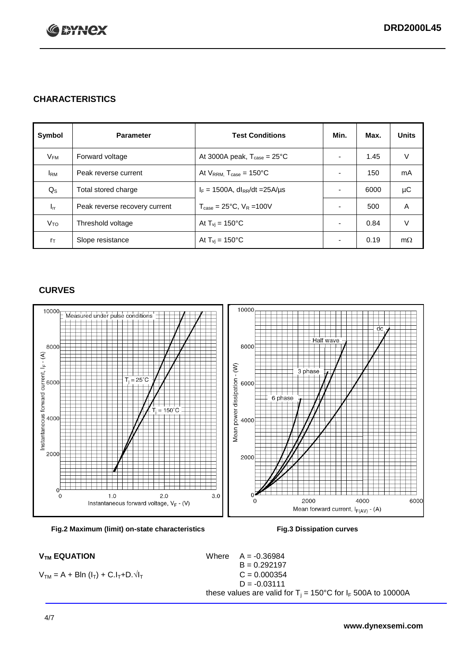

## **CHARACTERISTICS**

| Symbol          | <b>Parameter</b>              | <b>Test Conditions</b>                         | Min.                     | Max. | <b>Units</b> |
|-----------------|-------------------------------|------------------------------------------------|--------------------------|------|--------------|
| $V_{FM}$        | Forward voltage               | At 3000A peak, $T_{\text{case}} = 25^{\circ}C$ |                          | 1.45 | V            |
| I <sub>RM</sub> | Peak reverse current          | At $V_{RRM}$ . T <sub>case</sub> = 150°C       | $\overline{\phantom{0}}$ | 150  | mA           |
| $Q_{\rm S}$     | Total stored charge           | $I_F = 1500A$ , dl <sub>RR</sub> /dt = 25A/us  |                          | 6000 | μC           |
| $I_{rr}$        | Peak reverse recovery current | $T_{\text{case}} = 25^{\circ}$ C, $V_R = 100V$ |                          | 500  | A            |
| V <sub>то</sub> | Threshold voltage             | At $T_{vi}$ = 150 $^{\circ}$ C                 | $\overline{\phantom{0}}$ | 0.84 | V            |
| $r_{\text{T}}$  | Slope resistance              | At $T_{vi} = 150^{\circ}$ C                    | ۰                        | 0.19 | $m\Omega$    |

## **CURVES**





 $V_{TM} = A + Bln (I_T) + C.I_T + D.\sqrt{I_T}$   $C = 0.000354$ 

 $V_{TM}$  **EQUATION** Where  $A = -0.36984$  $B = 0.292197$  $D = -0.03111$ these values are valid for  $T_j = 150^{\circ}$ C for  $I_F$  500A to 10000A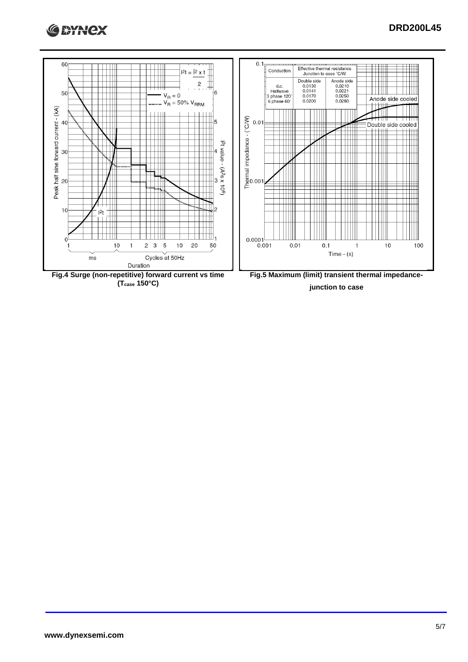

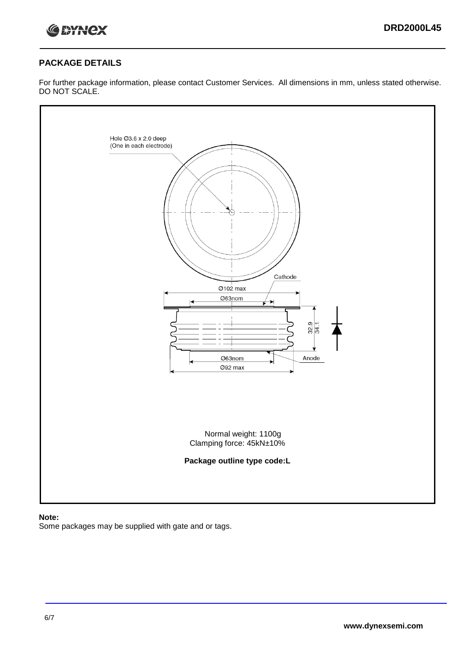

## **PACKAGE DETAILS**

For further package information, please contact Customer Services. All dimensions in mm, unless stated otherwise. DO NOT SCALE.



#### **Note:**

Some packages may be supplied with gate and or tags.